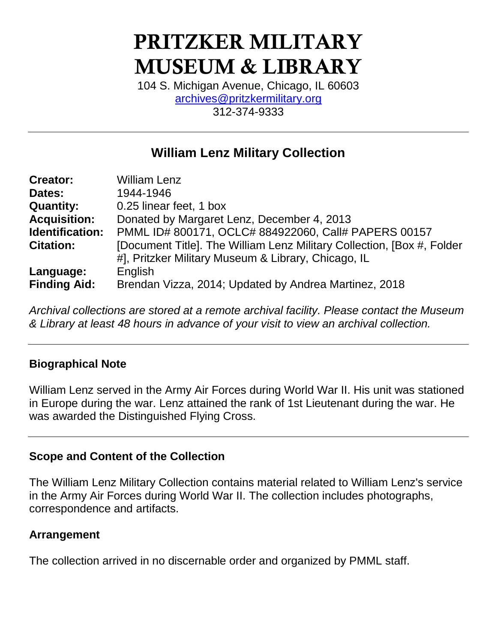# PRITZKER MILITARY MUSEUM & LIBRARY

104 S. Michigan Avenue, Chicago, IL 60603 [archives@pritzkermilitary.org](mailto:archives@pritzkermilitary.org) 312-374-9333

# **William Lenz Military Collection**

| <b>Creator:</b>     | <b>William Lenz</b>                                                     |
|---------------------|-------------------------------------------------------------------------|
| Dates:              | 1944-1946                                                               |
| <b>Quantity:</b>    | 0.25 linear feet, 1 box                                                 |
| <b>Acquisition:</b> | Donated by Margaret Lenz, December 4, 2013                              |
| Identification:     | PMML ID# 800171, OCLC# 884922060, Call# PAPERS 00157                    |
| <b>Citation:</b>    | [Document Title]. The William Lenz Military Collection, [Box #, Folder] |
|                     | #], Pritzker Military Museum & Library, Chicago, IL                     |
| Language:           | English                                                                 |
| <b>Finding Aid:</b> | Brendan Vizza, 2014; Updated by Andrea Martinez, 2018                   |

*Archival collections are stored at a remote archival facility. Please contact the Museum & Library at least 48 hours in advance of your visit to view an archival collection.*

## **Biographical Note**

William Lenz served in the Army Air Forces during World War II. His unit was stationed in Europe during the war. Lenz attained the rank of 1st Lieutenant during the war. He was awarded the Distinguished Flying Cross.

## **Scope and Content of the Collection**

The William Lenz Military Collection contains material related to William Lenz's service in the Army Air Forces during World War II. The collection includes photographs, correspondence and artifacts.

## **Arrangement**

The collection arrived in no discernable order and organized by PMML staff.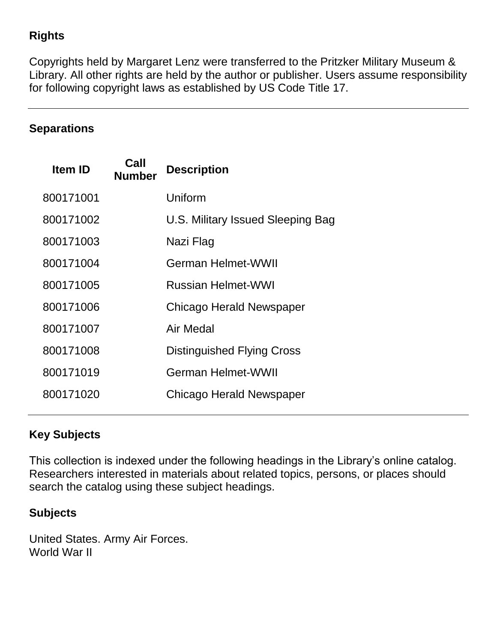## **Rights**

Copyrights held by Margaret Lenz were transferred to the Pritzker Military Museum & Library. All other rights are held by the author or publisher. Users assume responsibility for following copyright laws as established by US Code Title 17.

## **Separations**

| <b>Item ID</b> | Call<br><b>Number</b> | <b>Description</b>                |
|----------------|-----------------------|-----------------------------------|
| 800171001      |                       | Uniform                           |
| 800171002      |                       | U.S. Military Issued Sleeping Bag |
| 800171003      |                       | Nazi Flag                         |
| 800171004      |                       | German Helmet-WWII                |
| 800171005      |                       | <b>Russian Helmet-WWI</b>         |
| 800171006      |                       | Chicago Herald Newspaper          |
| 800171007      |                       | Air Medal                         |
| 800171008      |                       | <b>Distinguished Flying Cross</b> |
| 800171019      |                       | <b>German Helmet-WWII</b>         |
| 800171020      |                       | Chicago Herald Newspaper          |

## **Key Subjects**

This collection is indexed under the following headings in the Library's online catalog. Researchers interested in materials about related topics, persons, or places should search the catalog using these subject headings.

## **Subjects**

United States. Army Air Forces. World War II